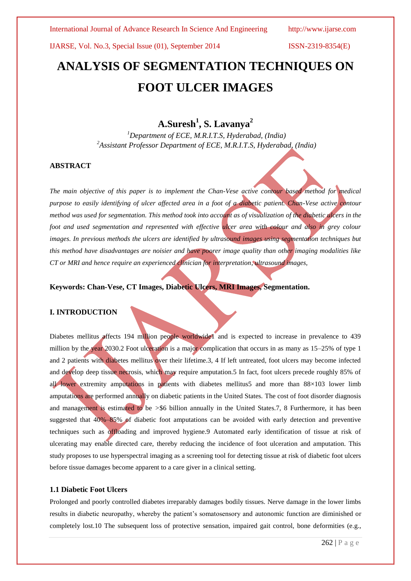# **ANALYSIS OF SEGMENTATION TECHNIQUES ON FOOT ULCER IMAGES**

## **A.Suresh<sup>1</sup> , S. Lavanya<sup>2</sup>**

*<sup>1</sup>Department of ECE, M.R.I.T.S, Hyderabad, (India) <sup>2</sup>Assistant Professor Department of ECE, M.R.I.T.S, Hyderabad, (India)*

### **ABSTRACT**

*The main objective of this paper is to implement the Chan-Vese active contour based method for medical purpose to easily identifying of ulcer affected area in a foot of a diabetic patient. Chan-Vese active contour method was used for segmentation. This method took into account as of visualization of the diabetic ulcers in the foot and used segmentation and represented with effective ulcer area with colour and also in grey colour images. In previous methods the ulcers are identified by ultrasound images using segmentation techniques but this method have disadvantages are noisier and have poorer image quality than other imaging modalities like CT or MRI and hence require an experienced clinician for interpretation, ultrasound images,*

**Keywords: Chan-Vese, CT Images, Diabetic Ulcers, MRI Images, Segmentation.**

### **I. INTRODUCTION**

Diabetes mellitus affects 194 million people worldwide1 and is expected to increase in prevalence to 439 million by the year 2030.2 Foot ulceration is a major complication that occurs in as many as 15–25% of type 1 and 2 patients with diabetes mellitus over their lifetime.3, 4 If left untreated, foot ulcers may become infected and develop deep tissue necrosis, which may require amputation.5 In fact, foot ulcers precede roughly 85% of all lower extremity amputations in patients with diabetes mellitus5 and more than 88×103 lower limb amputations are performed annually on diabetic patients in the United States. The cost of foot disorder diagnosis and management is estimated to be > \$6 billion annually in the United States.7, 8 Furthermore, it has been suggested that 40%–85% of diabetic foot amputations can be avoided with early detection and preventive techniques such as offloading and improved hygiene.9 Automated early identification of tissue at risk of ulcerating may enable directed care, thereby reducing the incidence of foot ulceration and amputation. This study proposes to use hyperspectral imaging as a screening tool for detecting tissue at risk of diabetic foot ulcers before tissue damages become apparent to a care giver in a clinical setting.

### **1.1 Diabetic Foot Ulcers**

Prolonged and poorly controlled diabetes irreparably damages bodily tissues. Nerve damage in the lower limbs results in diabetic neuropathy, whereby the patient's somatosensory and autonomic function are diminished or completely lost.10 The subsequent loss of protective sensation, impaired gait control, bone deformities (e.g.,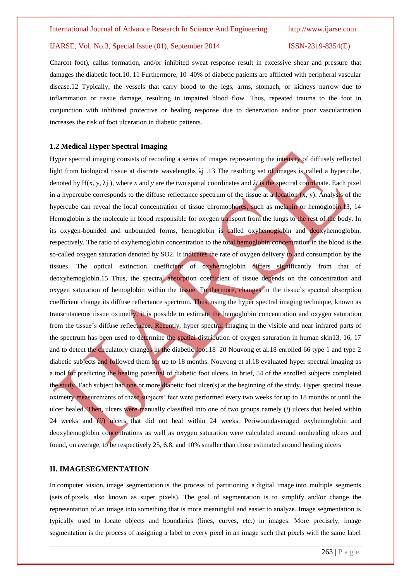Charcot foot), callus formation, and/or inhibited sweat response result in excessive shear and pressure that damages the diabetic foot.10, 11 Furthermore, 10–40% of diabetic patients are afflicted with peripheral vascular disease.12 Typically, the vessels that carry blood to the legs, arms, stomach, or kidneys narrow due to inflammation or tissue damage, resulting in impaired blood flow. Thus, repeated trauma to the foot in conjunction with inhibited protective or healing response due to denervation and/or poor vascularization increases the risk of foot ulceration in diabetic patients.

#### **1.2 Medical Hyper Spectral Imaging**

Hyper spectral imaging consists of recording a series of images representing the intensity of diffusely reflected light from biological tissue at discrete wavelengths λj .13 The resulting set of images is called a hypercube, denoted by  $H(x, y, \lambda)$ , where *x* and *y* are the two spatial coordinates and  $\lambda j$  is the spectral coordinate. Each pixel in a hypercube corresponds to the diffuse reflectance spectrum of the tissue at a location  $(x, y)$ . Analysis of the hypercube can reveal the local concentration of tissue chromophores, such as melanin or hemoglobin.13, 14 Hemoglobin is the molecule in blood responsible for oxygen transport from the lungs to the rest of the body. In its oxygen-bounded and unbounded forms, hemoglobin is called oxyhemoglobin and deoxyhemoglobin, respectively. The ratio of oxyhemoglobin concentration to the total hemoglobin concentration in the blood is the so-called oxygen saturation denoted by SO2. It indicates the rate of oxygen delivery to and consumption by the tissues. The optical extinction coefficient of oxyhemoglobin differs significantly from that of deoxyhemoglobin.15 Thus, the spectral absorption coefficient of tissue depends on the concentration and oxygen saturation of hemoglobin within the tissue. Furthermore, changes in the tissue's spectral absorption coefficient change its diffuse reflectance spectrum. Thus, using the hyper spectral imaging technique, known as transcutaneous tissue oximetry, it is possible to estimate the hemoglobin concentration and oxygen saturation from the tissue's diffuse reflectance. Recently, hyper spectral imaging in the visible and near infrared parts of the spectrum has been used to determine the spatial distribution of oxygen saturation in human skin13, 16, 17 and to detect the circulatory changes in the diabetic foot.18–20 Nouvong et al.18 enrolled 66 type 1 and type 2 diabetic subjects and followed them for up to 18 months. Nouvong et al.18 evaluated hyper spectral imaging as a tool for predicting the healing potential of diabetic foot ulcers. In brief, 54 of the enrolled subjects completed the study. Each subject had one or more diabetic foot ulcer(s) at the beginning of the study. Hyper spectral tissue oximetry measurements of these subjects' feet were performed every two weeks for up to 18 months or until the ulcer healed. Then, ulcers were manually classified into one of two groups namely (*i*) ulcers that healed within 24 weeks and (*ii*) ulcers that did not heal within 24 weeks. Periwoundaveraged oxyhemoglobin and deoxyhemoglobin concentrations as well as oxygen saturation were calculated around nonhealing ulcers and found, on average, to be respectively 25, 6.8, and 10% smaller than those estimated around healing ulcers

#### **II. IMAGESEGMENTATION**

In [computer](http://en.wikipedia.org/wiki/Computer_vision) vision, image segmentation is the process of partitioning a [digital image](http://en.wikipedia.org/wiki/Digital_image) into multiple segments [\(sets](http://en.wikipedia.org/wiki/Set_(mathematics)) of [pixels,](http://en.wikipedia.org/wiki/Pixel) also known as super pixels). The goal of segmentation is to simplify and/or change the representation of an image into something that is more meaningful and easier to analyze. Image segmentation is typically used to locate objects and boundaries (lines, curves, etc.) in images. More precisely, image segmentation is the process of assigning a label to every pixel in an image such that pixels with the same label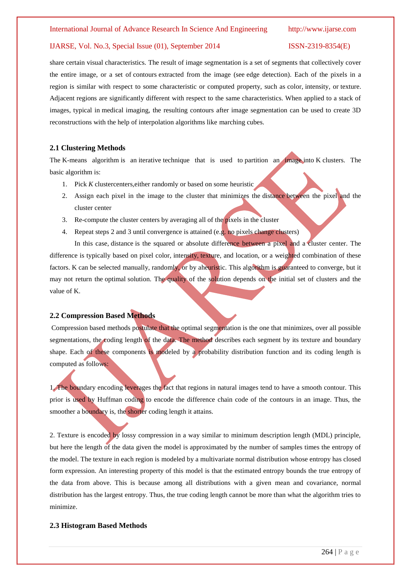share certain visual characteristics. The result of image segmentation is a set of segments that collectively cover the entire image, or a set of [contours](http://en.wikipedia.org/wiki/Contour_line) extracted from the image (see [edge detection\)](http://en.wikipedia.org/wiki/Edge_detection). Each of the pixels in a region is similar with respect to some characteristic or computed property, such as [color,](http://en.wikipedia.org/wiki/Color) [intensity,](http://en.wikipedia.org/wiki/Luminous_intensity) or [texture.](http://en.wikipedia.org/wiki/Image_texture) Adjacent regions are significantly different with respect to the same characteristics. When applied to a stack of images, typical in [medical imaging,](http://en.wikipedia.org/wiki/Medical_imaging) the resulting contours after image segmentation can be used to create 3D reconstructions with the help of interpolation algorithms like [marching cubes.](http://en.wikipedia.org/wiki/Marching_cubes)

### **2.1 Clustering Methods**

The [K-means algorithm](http://en.wikipedia.org/wiki/K-means_algorithm) is an [iterative](http://en.wikipedia.org/wiki/Iterative) technique that is used to [partition an image](http://en.wikipedia.org/wiki/Cluster_analysis) into K clusters. The basic [algorithm](http://en.wikipedia.org/wiki/Algorithm) is:

- 1. Pick *K* clustercenters,either [randomly](http://en.wikipedia.org/wiki/Random) or based on some [heuristic](http://en.wikipedia.org/wiki/Heuristic)
- 2. Assign each pixel in the image to the cluster that minimizes the [distance](http://en.wikipedia.org/wiki/Distance) between the pixel and the cluster center
- 3. Re-compute the cluster centers by averaging all of the pixels in the cluster
- 4. Repeat steps 2 and 3 until convergence is attained (e.g. no pixels change clusters)

In this case, [distance](http://en.wikipedia.org/wiki/Distance) is the squared or absolute difference between a pixel and a cluster center. The difference is typically based on pixel color, [intensity,](http://en.wikipedia.org/wiki/Brightness) [texture,](http://en.wikipedia.org/wiki/Texture_(computer_graphics)) and location, or a weighted combination of these factors. K can be selected manually, [randomly,](http://en.wikipedia.org/wiki/Random) or by [aheuristic.](http://en.wikipedia.org/wiki/Heuristic) This algorithm is guaranteed to converge, but it may not return the [optimal](http://en.wikipedia.org/wiki/Global_optimum) solution. The quality of the solution depends on the initial set of clusters and the value of K.

### **2.2 Compression Based Methods**

Compression based methods postulate that the optimal segmentation is the one that minimizes, over all possible segmentations, the coding length of the data. The method describes each segment by its texture and boundary shape. Each of these components is modeled by a probability distribution function and its coding length is computed as follows:

1. The boundary encoding leverages the fact that regions in natural images tend to have a smooth contour. This prior is used by Huffman coding to encode the difference chain code of the contours in an image. Thus, the smoother a boundary is, the shorter coding length it attains.

2. Texture is encoded by lossy compression in a way similar to minimum description length (MDL) principle, but here the length of the data given the model is approximated by the number of samples times the entropy of the model. The texture in each region is modeled by a multivariate normal distribution whose entropy has closed form expression. An interesting property of this model is that the estimated entropy bounds the true entropy of the data from above. This is because among all distributions with a given mean and covariance, normal distribution has the largest entropy. Thus, the true coding length cannot be more than what the algorithm tries to minimize.

### **2.3 Histogram Based Methods**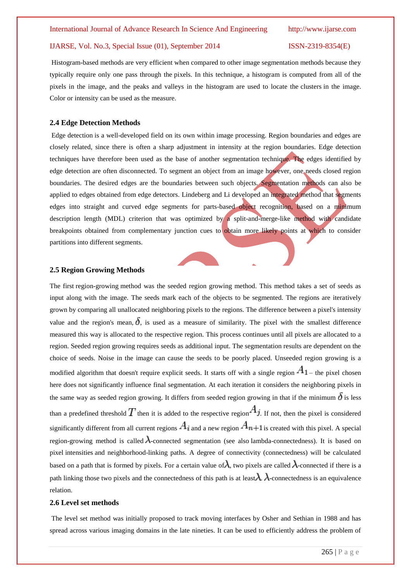[Histogram-](http://en.wikipedia.org/wiki/Histogram)based methods are very efficient when compared to other image segmentation methods because they typically require only one pass through the [pixels.](http://en.wikipedia.org/wiki/Pixel) In this technique, a histogram is computed from all of the pixels in the image, and the peaks and valleys in the histogram are used to locate the [clusters](http://en.wikipedia.org/wiki/Cluster_analysis) in the image. [Color](http://en.wikipedia.org/wiki/Hue) or [intensity](http://en.wikipedia.org/wiki/Brightness) can be used as the measure.

### **2.4 Edge Detection Methods**

[Edge detection](http://en.wikipedia.org/wiki/Edge_detection) is a well-developed field on its own within image processing. Region boundaries and edges are closely related, since there is often a sharp adjustment in intensity at the region boundaries. Edge detection techniques have therefore been used as the base of another segmentation technique. The edges identified by edge detection are often disconnected. To segment an object from an image however, one needs closed region boundaries. The desired edges are the boundaries between such objects. Segmentation methods can also be applied to edges obtained from edge detectors. Lindeberg and Li developed an integrated method that segments edges into straight and curved edge segments for parts-based object recognition, based on a minimum description length (MDL) criterion that was optimized by a split-and-merge-like method with candidate breakpoints obtained from complementary junction cues to obtain more likely points at which to consider partitions into different segments.

#### **2.5 Region Growing Methods**

The first [region-growing](http://en.wikipedia.org/wiki/Region-growing) method was the seeded region growing method. This method takes a set of seeds as input along with the image. The seeds mark each of the objects to be segmented. The regions are iteratively grown by comparing all unallocated neighboring pixels to the regions. The difference between a pixel's intensity value and the region's mean,  $\delta$ , is used as a measure of similarity. The pixel with the smallest difference measured this way is allocated to the respective region. This process continues until all pixels are allocated to a region. Seeded region growing requires seeds as additional input. The segmentation results are dependent on the choice of seeds. Noise in the image can cause the seeds to be poorly placed. Unseeded region growing is a modified algorithm that doesn't require explicit seeds. It starts off with a single region  $A_{1-}$  the pixel chosen here does not significantly influence final segmentation. At each iteration it considers the neighboring pixels in the same way as seeded region growing. It differs from seeded region growing in that if the minimum  $\delta$  is less than a predefined threshold  $T$  then it is added to the respective region  $A_{j}$ . If not, then the pixel is considered significantly different from all current regions  $A_i$  and a new region  $A_{n+1}$  is created with this pixel. A special region-growing method is called  $\lambda$ -connected segmentation (see also [lambda-connectedness\)](http://en.wikipedia.org/wiki/Lambda-connectedness). It is based on pixel [intensities](http://en.wikipedia.org/wiki/Brightness) and neighborhood-linking paths. A degree of connectivity (connectedness) will be calculated based on a path that is formed by pixels. For a certain value of  $\lambda$ , two pixels are called  $\lambda$ -connected if there is a path linking those two pixels and the connectedness of this path is at least  $\lambda$ .  $\lambda$ -connectedness is an equivalence relation.

### **2.6 Level set methods**

The level set method was initially proposed to track moving interfaces by Osher and Sethian in 1988 and has spread across various imaging domains in the late nineties. It can be used to efficiently address the problem of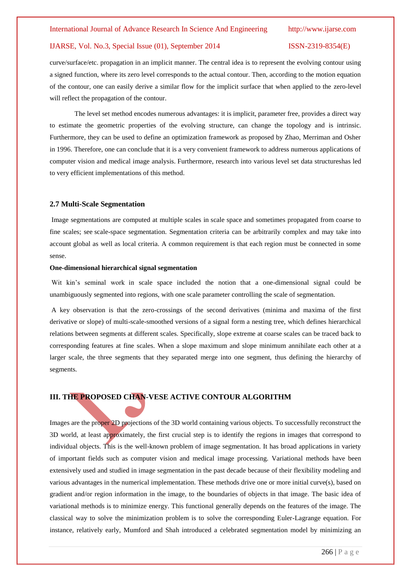curve/surface/etc. propagation in an implicit manner. The central idea is to represent the evolving contour using a signed function, where its zero level corresponds to the actual contour. Then, according to the motion equation of the contour, one can easily derive a similar flow for the implicit surface that when applied to the zero-level will reflect the propagation of the contour.

The level set method encodes numerous advantages: it is implicit, parameter free, provides a direct way to estimate the geometric properties of the evolving structure, can change the topology and is intrinsic. Furthermore, they can be used to define an optimization framework as proposed by Zhao, Merriman and Osher in 1996. Therefore, one can conclude that it is a very convenient framework to address numerous applications of computer vision and medical image analysis. Furthermore, research into various [level set data structuresh](http://en.wikipedia.org/wiki/Level_set_data_structures)as led to very efficient implementations of this method.

#### **2.7 Multi-Scale Segmentation**

Image segmentations are computed at multiple scales in [scale space](http://en.wikipedia.org/wiki/Scale_space) and sometimes propagated from coarse to fine scales; see [scale-space segmentation.](http://en.wikipedia.org/wiki/Scale-space_segmentation) Segmentation criteria can be arbitrarily complex and may take into account global as well as local criteria. A common requirement is that each region must be connected in some sense.

### **One-dimensional hierarchical signal segmentation**

Wit kin's seminal work in scale space included the notion that a one-dimensional signal could be unambiguously segmented into regions, with one scale parameter controlling the scale of segmentation.

A key observation is that the zero-crossings of the second derivatives (minima and maxima of the first derivative or slope) of multi-scale-smoothed versions of a signal form a nesting tree, which defines hierarchical relations between segments at different scales. Specifically, slope extreme at coarse scales can be traced back to corresponding features at fine scales. When a slope maximum and slope minimum annihilate each other at a larger scale, the three segments that they separated merge into one segment, thus defining the hierarchy of segments.

### **III. THE PROPOSED CHAN-VESE ACTIVE CONTOUR ALGORITHM**

Images are the proper 2D projections of the 3D world containing various objects. To successfully reconstruct the 3D world, at least approximately, the first crucial step is to identify the regions in images that correspond to individual objects. This is the well-known problem of image segmentation. It has broad applications in variety of important fields such as computer vision and medical image processing. Variational methods have been extensively used and studied in image segmentation in the past decade because of their flexibility modeling and various advantages in the numerical implementation. These methods drive one or more initial curve(s), based on gradient and/or region information in the image, to the boundaries of objects in that image. The basic idea of variational methods is to minimize energy. This functional generally depends on the features of the image. The classical way to solve the minimization problem is to solve the corresponding Euler-Lagrange equation. For instance, relatively early, Mumford and Shah introduced a celebrated segmentation model by minimizing an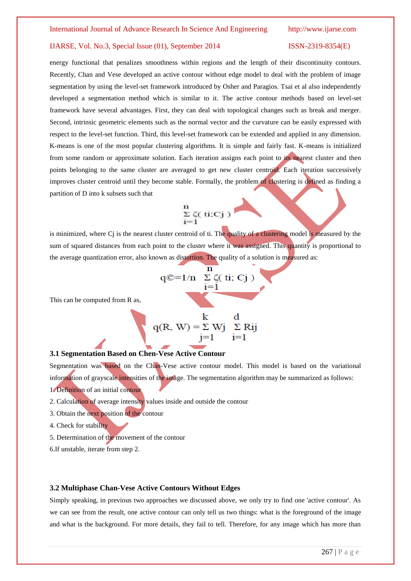energy functional that penalizes smoothness within regions and the length of their discontinuity contours. Recently, Chan and Vese developed an active contour without edge model to deal with the problem of image segmentation by using the level-set framework introduced by Osher and Paragios. Tsai et al also independently developed a segmentation method which is similar to it. The active contour methods based on level-set framework have several advantages. First, they can deal with topological changes such as break and merger. Second, intrinsic geometric elements such as the normal vector and the curvature can be easily expressed with respect to the level-set function. Third, this level-set framework can be extended and applied in any dimension. K-means is one of the most popular clustering algorithms. It is simple and fairly fast. K-means is initialized from some random or approximate solution. Each iteration assigns each point to its nearest cluster and then points belonging to the same cluster are averaged to get new cluster centroid. Each iteration successively improves cluster centroid until they become stable. Formally, the problem of clustering is defined as finding a partition of D into k subsets such that

 $\frac{\mathbf{n}}{\Sigma \zeta(\mathbf{t}:\mathbf{C})}$ 

is minimized, where Cj is the nearest cluster centroid of ti. The quality of a clustering model is measured by the sum of squared distances from each point to the cluster where it was assigned. This quantity is proportional to the average quantization error, also known as distortion. The quality of a solution is measured as:

$$
q \otimes = 1/n \sum_{i=1}^{n} \zeta(i; Cj)
$$
  
\n
$$
= 1
$$
  
\n
$$
k \frac{d}{d(R, W)} = \sum Wj \sum Rij
$$

 $i=1$ 

### **3.1 Segmentation Based on Chen-Vese Active Contour**

Segmentation was based on the Chan-Vese active contour model. This model is based on the variational information of grayscale intensities of the image. The segmentation algorithm may be summarized as follows: 1. Definition of an initial contour

 $i=1$ 

2. Calculation of average intensity values inside and outside the contour

3. Obtain the next position of the contour

4. Check for stability

5. Determination of the movement of the contour

6.If unstable, iterate from step 2.

This can be computed from R as,

#### **3.2 Multiphase Chan-Vese Active Contours Without Edges**

Simply speaking, in previous two approaches we discussed above, we only try to find one 'active contour'. As we can see from the result, one active contour can only tell us two things: what is the foreground of the image and what is the background. For more details, they fail to tell. Therefore, for any image which has more than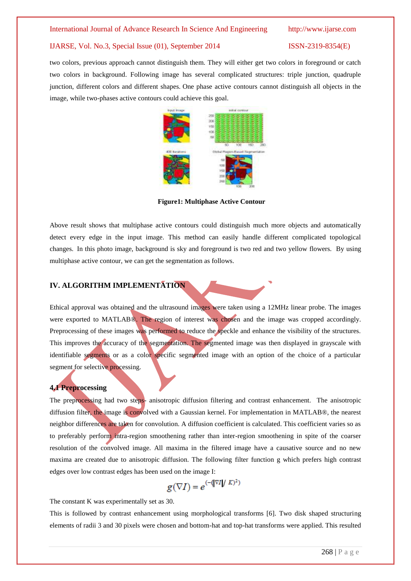two colors, previous approach cannot distinguish them. They will either get two colors in foreground or catch two colors in background. Following image has several complicated structures: triple junction, quadruple junction, different colors and different shapes. One phase active contours cannot distinguish all objects in the image, while two-phases active contours could achieve this goal.



 **Figure1: Multiphase Active Contour**

Above result shows that multiphase active contours could distinguish much more objects and automatically detect every edge in the input image. This method can easily handle different complicated topological changes. In this photo image, background is sky and foreground is two red and two yellow flowers. By using multiphase active contour, we can get the segmentation as follows.

### **IV. ALGORITHM IMPLEMENTATION**

Ethical approval was obtained and the ultrasound images were taken using a 12MHz linear probe. The images were exported to MATLAB®. The region of interest was chosen and the image was cropped accordingly. Preprocessing of these images was performed to reduce the speckle and enhance the visibility of the structures. This improves the accuracy of the segmentation. The segmented image was then displayed in grayscale with identifiable segments or as a color specific segmented image with an option of the choice of a particular segment for selective processing.

### **4.1 Preprocessing**

The preprocessing had two steps- anisotropic diffusion filtering and contrast enhancement. The anisotropic diffusion filter, the image is convolved with a Gaussian kernel. For implementation in MATLAB®, the nearest neighbor differences are taken for convolution. A diffusion coefficient is calculated. This coefficient varies so as to preferably perform intra-region smoothening rather than inter-region smoothening in spite of the coarser resolution of the convolved image. All maxima in the filtered image have a causative source and no new maxima are created due to anisotropic diffusion. The following filter function g which prefers high contrast edges over low contrast edges has been used on the image I:

$$
g(\nabla I) = e^{(-\left(\left|\nabla I\right|/K)^2\right)}
$$

The constant K was experimentally set as 30.

This is followed by contrast enhancement using morphological transforms [6]. Two disk shaped structuring elements of radii 3 and 30 pixels were chosen and bottom-hat and top-hat transforms were applied. This resulted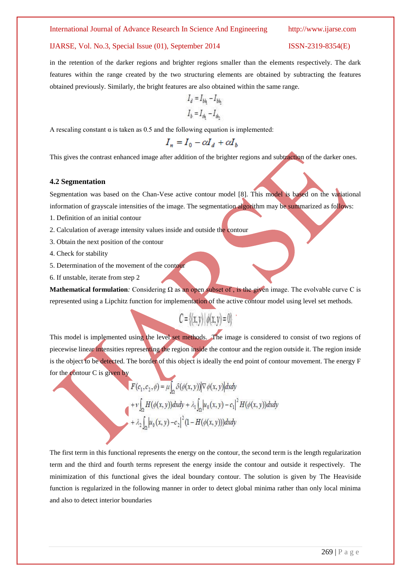in the retention of the darker regions and brighter regions smaller than the elements respectively. The dark features within the range created by the two structuring elements are obtained by subtracting the features obtained previously. Similarly, the bright features are also obtained within the same range.

$$
I_d = I_{bh_1} - I_{bh_2}
$$

$$
I_b = I_{bh} - I_{bh}
$$

A rescaling constant  $\alpha$  is taken as 0.5 and the following equation is implemented:

$$
I_n = I_0 - cI_d + cI_b
$$

This gives the contrast enhanced image after addition of the brighter regions and subtraction of the darker ones.

#### **4.2 Segmentation**

Segmentation was based on the Chan-Vese active contour model [8]. This model is based on the variational information of grayscale intensities of the image. The segmentation algorithm may be summarized as follows:

- 1. Definition of an initial contour
- 2. Calculation of average intensity values inside and outside the contour
- 3. Obtain the next position of the contour
- 4. Check for stability
- 5. Determination of the movement of the contour
- 6. If unstable, iterate from step 2

**Mathematical formulation***:* Considering Ω as an open subset of , is the given image. The evolvable curve C is represented using a Lipchitz function for implementation of the active contour model using level set methods.

# $C = \{(x, y) | \phi(x, y) = 0\}$

This model is implemented using the level set methods. The image is considered to consist of two regions of piecewise linear intensities representing the region inside the contour and the region outside it. The region inside is the object to be detected. The border of this object is ideally the end point of contour movement. The energy F

for the contour C is given by<br> $F(c_1, c_2, \phi) = \mu \int_0^{\infty} \delta(\phi(x, y)) |\nabla \phi(x, y)| dx dy$  $\int_0^1 + v \int_{\Omega} H(\phi(x, y)) dx dy + \lambda_1 \int_{\Omega} |u_0(x, y) - c_1|^2 H(\phi(x, y)) dx dy$ <br>+  $\lambda_2 \int_{\Omega} |u_0(x, y) - c_2|^2 (1 - H(\phi(x, y))) dx dy$ 

The first term in this functional represents the energy on the contour, the second term is the length regularization term and the third and fourth terms represent the energy inside the contour and outside it respectively. The minimization of this functional gives the ideal boundary contour. The solution is given by The Heaviside function is regularized in the following manner in order to detect global minima rather than only local minima and also to detect interior boundaries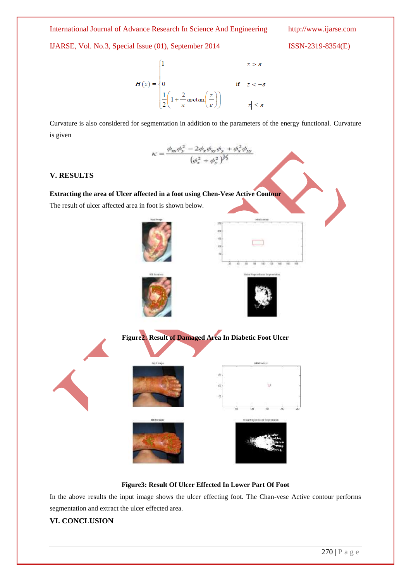#### International Journal of Advance Research In Science And Engineering http://www.ijarse.com

IJARSE, Vol. No.3, Special Issue (01), September 2014 ISSN-2319-8354(E)

$$
f_{\rm{max}}(x)=\frac{1}{2}x
$$

$$
H(z) = \begin{cases} 1 & z > \varepsilon \\ 0 & \text{if } z < -\varepsilon \\ \frac{1}{2} \left( 1 + \frac{2}{\pi} \arctan\left(\frac{z}{\varepsilon}\right) \right) & |z| \le \varepsilon \end{cases}
$$

Curvature is also considered for segmentation in addition to the parameters of the energy functional. Curvature is given

$$
\kappa = \frac{\phi_{xx}\phi_y^2 - 2\phi_x\phi_{xy}\phi_y + \phi_x^2\phi_{yy}}{(\phi_x^2 + \phi_y^2)^{3/2}}
$$

### **V. RESULTS**

**Extracting the area of Ulcer affected in a foot using Chen-Vese Active Contour** 

The result of ulcer affected area in foot is shown below.







## **Figure2: Result of Damaged Area In Diabetic Foot Ulcer**



**Figure3: Result Of Ulcer Effected In Lower Part Of Foot**

In the above results the input image shows the ulcer effecting foot. The Chan-vese Active contour performs segmentation and extract the ulcer effected area.

### **VI. CONCLUSION**